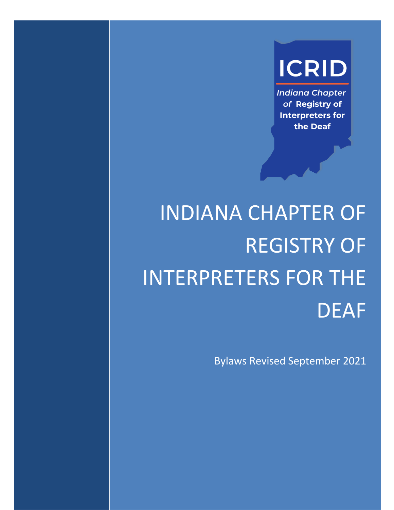## **ICRID**

**Indiana Chapter** of Registry of **Interpreters for** the Deaf

# INDIANA CHAPTER OF REGISTRY OF INTERPRETERS FOR THE DEAF

Bylaws Revised September 2021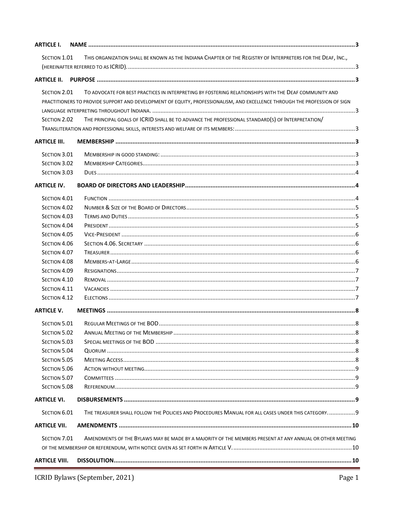| <b>ARTICLE I.</b>            |                                                                                                                            |  |
|------------------------------|----------------------------------------------------------------------------------------------------------------------------|--|
| SECTION 1.01                 | THIS ORGANIZATION SHALL BE KNOWN AS THE INDIANA CHAPTER OF THE REGISTRY OF INTERPRETERS FOR THE DEAF, INC.,                |  |
|                              |                                                                                                                            |  |
| <b>ARTICLE II.</b>           |                                                                                                                            |  |
|                              |                                                                                                                            |  |
| SECTION 2.01                 | TO ADVOCATE FOR BEST PRACTICES IN INTERPRETING BY FOSTERING RELATIONSHIPS WITH THE DEAF COMMUNITY AND                      |  |
|                              | PRACTITIONERS TO PROVIDE SUPPORT AND DEVELOPMENT OF EQUITY, PROFESSIONALISM, AND EXCELLENCE THROUGH THE PROFESSION OF SIGN |  |
|                              |                                                                                                                            |  |
| SECTION 2.02                 | THE PRINCIPAL GOALS OF ICRID SHALL BE TO ADVANCE THE PROFESSIONAL STANDARD(S) OF INTERPRETATION/                           |  |
|                              |                                                                                                                            |  |
| <b>ARTICLE III.</b>          |                                                                                                                            |  |
| SECTION 3.01                 |                                                                                                                            |  |
| SECTION 3.02                 |                                                                                                                            |  |
| SECTION 3.03                 |                                                                                                                            |  |
| <b>ARTICLE IV.</b>           |                                                                                                                            |  |
| SECTION 4.01                 |                                                                                                                            |  |
| SECTION 4.02                 |                                                                                                                            |  |
| SECTION 4.03                 |                                                                                                                            |  |
| SECTION 4.04                 |                                                                                                                            |  |
| SECTION 4.05                 |                                                                                                                            |  |
| SECTION 4.06                 |                                                                                                                            |  |
| SECTION 4.07                 |                                                                                                                            |  |
| SECTION 4.08                 |                                                                                                                            |  |
| SECTION 4.09                 |                                                                                                                            |  |
| SECTION 4.10                 |                                                                                                                            |  |
| SECTION 4.11                 |                                                                                                                            |  |
| SECTION 4.12                 |                                                                                                                            |  |
| <b>ARTICLE V.</b>            |                                                                                                                            |  |
|                              |                                                                                                                            |  |
| SECTION 5.01                 |                                                                                                                            |  |
| SECTION 5.02<br>SECTION 5.03 |                                                                                                                            |  |
| SECTION 5.04                 |                                                                                                                            |  |
| SECTION 5.05                 |                                                                                                                            |  |
| <b>SECTION 5.06</b>          |                                                                                                                            |  |
| SECTION 5.07                 |                                                                                                                            |  |
| SECTION 5.08                 |                                                                                                                            |  |
| <b>ARTICLE VI.</b>           |                                                                                                                            |  |
|                              |                                                                                                                            |  |
| SECTION 6.01                 | THE TREASURER SHALL FOLLOW THE POLICIES AND PROCEDURES MANUAL FOR ALL CASES UNDER THIS CATEGORY9                           |  |
| <b>ARTICLE VII.</b>          |                                                                                                                            |  |
| SECTION 7.01                 | AMENDMENTS OF THE BYLAWS MAY BE MADE BY A MAJORITY OF THE MEMBERS PRESENT AT ANY ANNUAL OR OTHER MEETING                   |  |
|                              |                                                                                                                            |  |
| <b>ARTICLE VIII.</b>         |                                                                                                                            |  |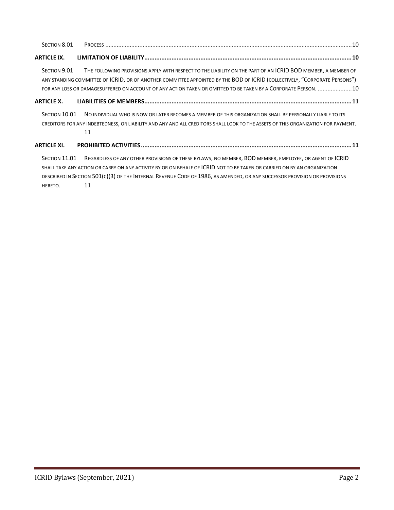| SECTION 8.01       |                                                                                                                                                                                                                                                                                                                                                              |
|--------------------|--------------------------------------------------------------------------------------------------------------------------------------------------------------------------------------------------------------------------------------------------------------------------------------------------------------------------------------------------------------|
| <b>ARTICLE IX.</b> |                                                                                                                                                                                                                                                                                                                                                              |
| SECTION 9.01       | THE FOLLOWING PROVISIONS APPLY WITH RESPECT TO THE LIABILITY ON THE PART OF AN ICRID BOD MEMBER, A MEMBER OF<br>ANY STANDING COMMITTEE OF ICRID, OR OF ANOTHER COMMITTEE APPOINTED BY THE BOD OF ICRID (COLLECTIVELY, "CORPORATE PERSONS")<br>FOR ANY LOSS OR DAMAGESUFFERED ON ACCOUNT OF ANY ACTION TAKEN OR OMITTED TO BE TAKEN BY A CORPORATE PERSON. 10 |
| <b>ARTICLE X.</b>  |                                                                                                                                                                                                                                                                                                                                                              |
| SECTION 10.01      | NO INDIVIDUAL WHO IS NOW OR LATER BECOMES A MEMBER OF THIS ORGANIZATION SHALL BE PERSONALLY LIABLE TO ITS<br>CREDITORS FOR ANY INDEBTEDNESS, OR LIABILITY AND ANY AND ALL CREDITORS SHALL LOOK TO THE ASSETS OF THIS ORGANIZATION FOR PAYMENT.<br>11                                                                                                         |
| <b>ARTICLE XI.</b> |                                                                                                                                                                                                                                                                                                                                                              |
| SECTION 11.01      | REGARDLESS OF ANY OTHER PROVISIONS OF THESE BYLAWS, NO MEMBER, BOD MEMBER, EMPLOYEE, OR AGENT OF ICRID<br>SHALL TAKE ANY ACTION OR CARRY ON ANY ACTIVITY BY OR ON BEHALF OF <b>ICRID</b> NOT TO BE TAKEN OR CARRIED ON BY AN ORGANIZATION                                                                                                                    |
|                    | DESCRIBED IN SECTION 501(C)(3) OF THE INTERNAL REVENUE CODE OF 1986, AS AMENDED, OR ANY SUCCESSOR PROVISION OR PROVISIONS                                                                                                                                                                                                                                    |

[HERETO](#page-11-3). 11

÷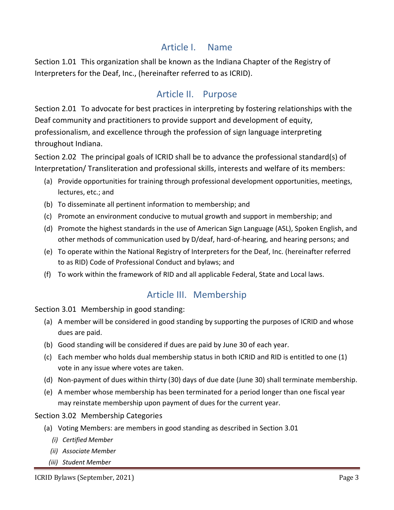### <span id="page-3-0"></span>Article I. Name

<span id="page-3-2"></span><span id="page-3-1"></span>Section 1.01 This organization shall be known as the Indiana Chapter of the Registry of Interpreters for the Deaf, Inc., (hereinafter referred to as ICRID).

## Article II. Purpose

<span id="page-3-3"></span>Section 2.01 To advocate for best practices in interpreting by fostering relationships with the Deaf community and practitioners to provide support and development of equity, professionalism, and excellence through the profession of sign language interpreting throughout Indiana.

<span id="page-3-4"></span>Section 2.02 The principal goals of ICRID shall be to advance the professional standard(s) of Interpretation/ Transliteration and professional skills, interests and welfare of its members:

- (a) Provide opportunities for training through professional development opportunities, meetings, lectures, etc.; and
- (b) To disseminate all pertinent information to membership; and
- (c) Promote an environment conducive to mutual growth and support in membership; and
- (d) Promote the highest standards in the use of American Sign Language (ASL), Spoken English, and other methods of communication used by D/deaf, hard-of-hearing, and hearing persons; and
- (e) To operate within the National Registry of Interpreters for the Deaf, Inc. (hereinafter referred to as RID) Code of Professional Conduct and bylaws; and
- <span id="page-3-5"></span>(f) To work within the framework of RID and all applicable Federal, State and Local laws.

## Article III. Membership

<span id="page-3-6"></span>Section 3.01 Membership in good standing:

- (a) A member will be considered in good standing by supporting the purposes of ICRID and whose dues are paid.
- (b) Good standing will be considered if dues are paid by June 30 of each year.
- (c) Each member who holds dual membership status in both ICRID and RID is entitled to one (1) vote in any issue where votes are taken.
- (d) Non-payment of dues within thirty (30) days of due date (June 30) shall terminate membership.
- (e) A member whose membership has been terminated for a period longer than one fiscal year may reinstate membership upon payment of dues for the current year.

<span id="page-3-7"></span>Section 3.02 Membership Categories

- (a) Voting Members: are members in good standing as described in Section 3.01
	- *(i) Certified Member*
	- *(ii) Associate Member*
	- *(iii) Student Member*

ICRID Bylaws (September, 2021) Page 3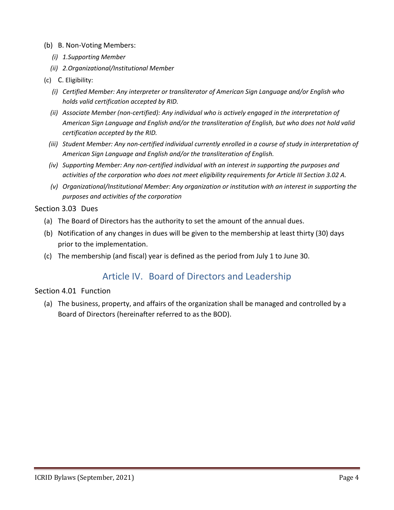- (b) B. Non-Voting Members:
	- *(i) 1.Supporting Member*
	- *(ii) 2.Organizational/Institutional Member*
- (c) C. Eligibility:
	- *(i) Certified Member: Any interpreter or transliterator of American Sign Language and/or English who holds valid certification accepted by RID.*
	- *(ii) Associate Member (non-certified): Any individual who is actively engaged in the interpretation of American Sign Language and English and/or the transliteration of English, but who does not hold valid certification accepted by the RID.*
	- *(iii) Student Member: Any non-certified individual currently enrolled in a course of study in interpretation of American Sign Language and English and/or the transliteration of English.*
	- *(iv) Supporting Member: Any non-certified individual with an interest in supporting the purposes and activities of the corporation who does not meet eligibility requirements for Article III Section 3.02 A.*
	- *(v) Organizational/Institutional Member: Any organization or institution with an interest in supporting the purposes and activities of the corporation*

#### <span id="page-4-0"></span>Section 3.03 Dues

- (a) The Board of Directors has the authority to set the amount of the annual dues.
- (b) Notification of any changes in dues will be given to the membership at least thirty (30) days prior to the implementation.
- <span id="page-4-1"></span>(c) The membership (and fiscal) year is defined as the period from July 1 to June 30.

## Article IV. Board of Directors and Leadership

#### <span id="page-4-2"></span>Section 4.01 Function

(a) The business, property, and affairs of the organization shall be managed and controlled by a Board of Directors (hereinafter referred to as the BOD).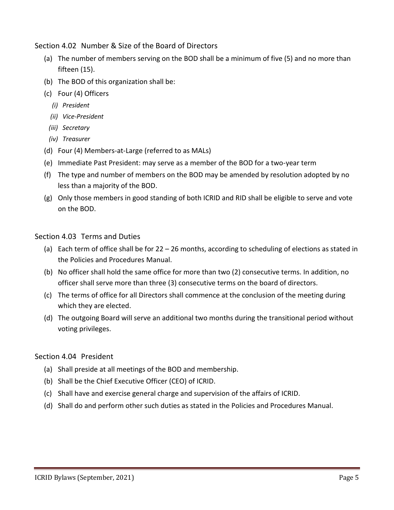<span id="page-5-0"></span>Section 4.02 Number & Size of the Board of Directors

- (a) The number of members serving on the BOD shall be a minimum of five (5) and no more than fifteen (15).
- (b) The BOD of this organization shall be:
- (c) Four (4) Officers
	- *(i) President*
	- *(ii) Vice-President*
	- *(iii) Secretary*
	- *(iv) Treasurer*
- (d) Four (4) Members-at-Large (referred to as MALs)
- (e) Immediate Past President: may serve as a member of the BOD for a two-year term
- (f) The type and number of members on the BOD may be amended by resolution adopted by no less than a majority of the BOD.
- (g) Only those members in good standing of both ICRID and RID shall be eligible to serve and vote on the BOD.

#### <span id="page-5-1"></span>Section 4.03 Terms and Duties

- (a) Each term of office shall be for 22 26 months, according to scheduling of elections as stated in the Policies and Procedures Manual.
- (b) No officer shall hold the same office for more than two (2) consecutive terms. In addition, no officer shall serve more than three (3) consecutive terms on the board of directors.
- (c) The terms of office for all Directors shall commence at the conclusion of the meeting during which they are elected.
- (d) The outgoing Board will serve an additional two months during the transitional period without voting privileges.

#### <span id="page-5-2"></span>Section 4.04 President

- (a) Shall preside at all meetings of the BOD and membership.
- (b) Shall be the Chief Executive Officer (CEO) of ICRID.
- (c) Shall have and exercise general charge and supervision of the affairs of ICRID.
- (d) Shall do and perform other such duties as stated in the Policies and Procedures Manual.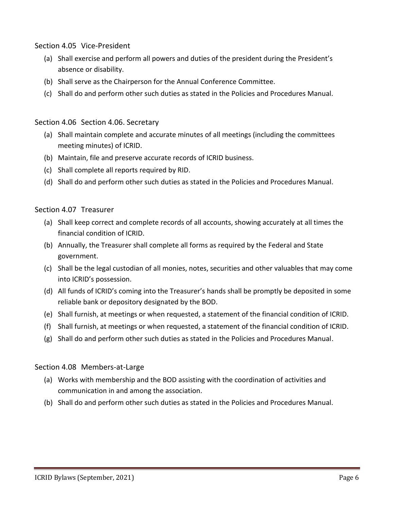<span id="page-6-0"></span>Section 4.05 Vice-President

- (a) Shall exercise and perform all powers and duties of the president during the President's absence or disability.
- (b) Shall serve as the Chairperson for the Annual Conference Committee.
- (c) Shall do and perform other such duties as stated in the Policies and Procedures Manual.

#### <span id="page-6-1"></span>Section 4.06 Section 4.06. Secretary

- (a) Shall maintain complete and accurate minutes of all meetings (including the committees meeting minutes) of ICRID.
- (b) Maintain, file and preserve accurate records of ICRID business.
- (c) Shall complete all reports required by RID.
- (d) Shall do and perform other such duties as stated in the Policies and Procedures Manual.

#### <span id="page-6-2"></span>Section 4.07 Treasurer

- (a) Shall keep correct and complete records of all accounts, showing accurately at all times the financial condition of ICRID.
- (b) Annually, the Treasurer shall complete all forms as required by the Federal and State government.
- (c) Shall be the legal custodian of all monies, notes, securities and other valuables that may come into ICRID's possession.
- (d) All funds of ICRID's coming into the Treasurer's hands shall be promptly be deposited in some reliable bank or depository designated by the BOD.
- (e) Shall furnish, at meetings or when requested, a statement of the financial condition of ICRID.
- (f) Shall furnish, at meetings or when requested, a statement of the financial condition of ICRID.
- (g) Shall do and perform other such duties as stated in the Policies and Procedures Manual.

#### <span id="page-6-3"></span>Section 4.08 Members-at-Large

- (a) Works with membership and the BOD assisting with the coordination of activities and communication in and among the association.
- (b) Shall do and perform other such duties as stated in the Policies and Procedures Manual.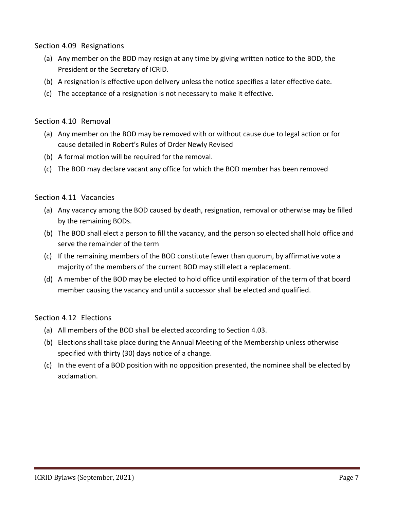<span id="page-7-0"></span>Section 4.09 Resignations

- (a) Any member on the BOD may resign at any time by giving written notice to the BOD, the President or the Secretary of ICRID.
- (b) A resignation is effective upon delivery unless the notice specifies a later effective date.
- (c) The acceptance of a resignation is not necessary to make it effective.

#### <span id="page-7-1"></span>Section 4.10 Removal

- (a) Any member on the BOD may be removed with or without cause due to legal action or for cause detailed in Robert's Rules of Order Newly Revised
- (b) A formal motion will be required for the removal.
- (c) The BOD may declare vacant any office for which the BOD member has been removed

#### <span id="page-7-2"></span>Section 4.11 Vacancies

- (a) Any vacancy among the BOD caused by death, resignation, removal or otherwise may be filled by the remaining BODs.
- (b) The BOD shall elect a person to fill the vacancy, and the person so elected shall hold office and serve the remainder of the term
- (c) If the remaining members of the BOD constitute fewer than quorum, by affirmative vote a majority of the members of the current BOD may still elect a replacement.
- (d) A member of the BOD may be elected to hold office until expiration of the term of that board member causing the vacancy and until a successor shall be elected and qualified.

#### <span id="page-7-3"></span>Section 4.12 Elections

- (a) All members of the BOD shall be elected according to Section 4.03.
- (b) Elections shall take place during the Annual Meeting of the Membership unless otherwise specified with thirty (30) days notice of a change.
- (c) In the event of a BOD position with no opposition presented, the nominee shall be elected by acclamation.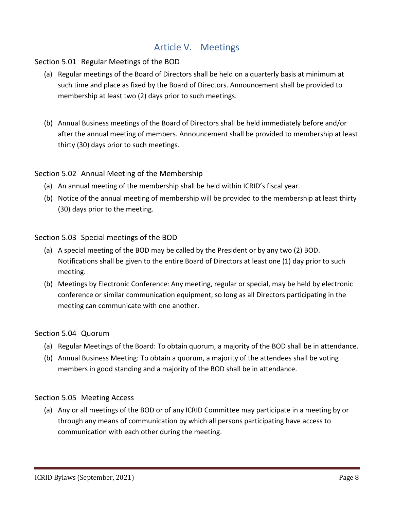## Article V. Meetings

#### <span id="page-8-1"></span><span id="page-8-0"></span>Section 5.01 Regular Meetings of the BOD

- (a) Regular meetings of the Board of Directors shall be held on a quarterly basis at minimum at such time and place as fixed by the Board of Directors. Announcement shall be provided to membership at least two (2) days prior to such meetings.
- (b) Annual Business meetings of the Board of Directors shall be held immediately before and/or after the annual meeting of members. Announcement shall be provided to membership at least thirty (30) days prior to such meetings.

#### <span id="page-8-2"></span>Section 5.02 Annual Meeting of the Membership

- (a) An annual meeting of the membership shall be held within ICRID's fiscal year.
- (b) Notice of the annual meeting of membership will be provided to the membership at least thirty (30) days prior to the meeting.

#### <span id="page-8-3"></span>Section 5.03 Special meetings of the BOD

- (a) A special meeting of the BOD may be called by the President or by any two (2) BOD. Notifications shall be given to the entire Board of Directors at least one (1) day prior to such meeting.
- (b) Meetings by Electronic Conference: Any meeting, regular or special, may be held by electronic conference or similar communication equipment, so long as all Directors participating in the meeting can communicate with one another.

#### <span id="page-8-4"></span>Section 5.04 Quorum

- (a) Regular Meetings of the Board: To obtain quorum, a majority of the BOD shall be in attendance.
- (b) Annual Business Meeting: To obtain a quorum, a majority of the attendees shall be voting members in good standing and a majority of the BOD shall be in attendance.

#### <span id="page-8-5"></span>Section 5.05 Meeting Access

(a) Any or all meetings of the BOD or of any ICRID Committee may participate in a meeting by or through any means of communication by which all persons participating have access to communication with each other during the meeting.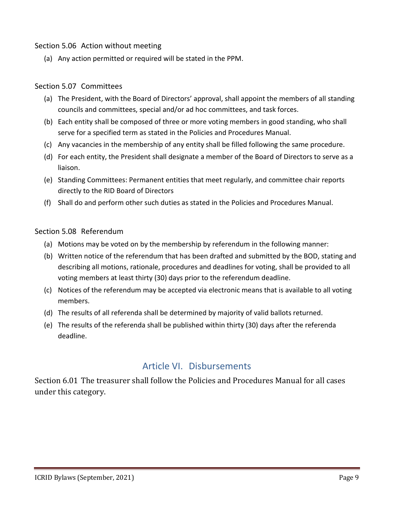#### <span id="page-9-0"></span>Section 5.06 Action without meeting

(a) Any action permitted or required will be stated in the PPM.

#### <span id="page-9-1"></span>Section 5.07 Committees

- (a) The President, with the Board of Directors' approval, shall appoint the members of all standing councils and committees, special and/or ad hoc committees, and task forces.
- (b) Each entity shall be composed of three or more voting members in good standing, who shall serve for a specified term as stated in the Policies and Procedures Manual.
- (c) Any vacancies in the membership of any entity shall be filled following the same procedure.
- (d) For each entity, the President shall designate a member of the Board of Directors to serve as a liaison.
- (e) Standing Committees: Permanent entities that meet regularly, and committee chair reports directly to the RID Board of Directors
- (f) Shall do and perform other such duties as stated in the Policies and Procedures Manual.

#### <span id="page-9-2"></span>Section 5.08 Referendum

- (a) Motions may be voted on by the membership by referendum in the following manner:
- (b) Written notice of the referendum that has been drafted and submitted by the BOD, stating and describing all motions, rationale, procedures and deadlines for voting, shall be provided to all voting members at least thirty (30) days prior to the referendum deadline.
- (c) Notices of the referendum may be accepted via electronic means that is available to all voting members.
- (d) The results of all referenda shall be determined by majority of valid ballots returned.
- (e) The results of the referenda shall be published within thirty (30) days after the referenda deadline.

#### Article VI. Disbursements

<span id="page-9-4"></span><span id="page-9-3"></span>Section 6.01 The treasurer shall follow the Policies and Procedures Manual for all cases under this category.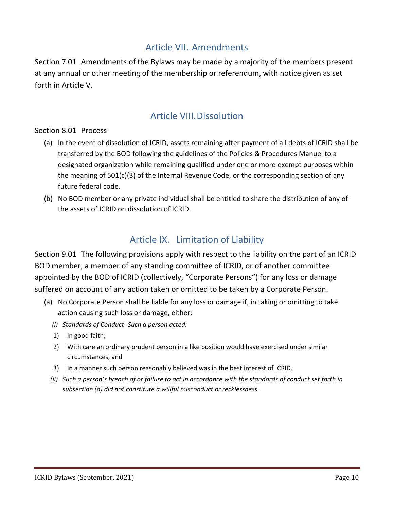## Article VII. Amendments

<span id="page-10-1"></span><span id="page-10-0"></span>Section 7.01 Amendments of the Bylaws may be made by a majority of the members present at any annual or other meeting of the membership or referendum, with notice given as set forth in Article V.

## Article VIII.Dissolution

#### <span id="page-10-3"></span><span id="page-10-2"></span>Section 8.01 Process

- (a) In the event of dissolution of ICRID, assets remaining after payment of all debts of ICRID shall be transferred by the BOD following the guidelines of the Policies & Procedures Manuel to a designated organization while remaining qualified under one or more exempt purposes within the meaning of  $501(c)(3)$  of the Internal Revenue Code, or the corresponding section of any future federal code.
- (b) No BOD member or any private individual shall be entitled to share the distribution of any of the assets of ICRID on dissolution of ICRID.

## Article IX. Limitation of Liability

<span id="page-10-5"></span><span id="page-10-4"></span>Section 9.01 The following provisions apply with respect to the liability on the part of an ICRID BOD member, a member of any standing committee of ICRID, or of another committee appointed by the BOD of ICRID (collectively, "Corporate Persons") for any loss or damage suffered on account of any action taken or omitted to be taken by a Corporate Person.

- (a) No Corporate Person shall be liable for any loss or damage if, in taking or omitting to take action causing such loss or damage, either:
	- *(i) Standards of Conduct- Such a person acted:*
	- 1) In good faith;
	- 2) With care an ordinary prudent person in a like position would have exercised under similar circumstances, and
	- 3) In a manner such person reasonably believed was in the best interest of ICRID.
	- *(ii) Such a person's breach of or failure to act in accordance with the standards of conduct set forth in subsection (a) did not constitute a willful misconduct or recklessness.*